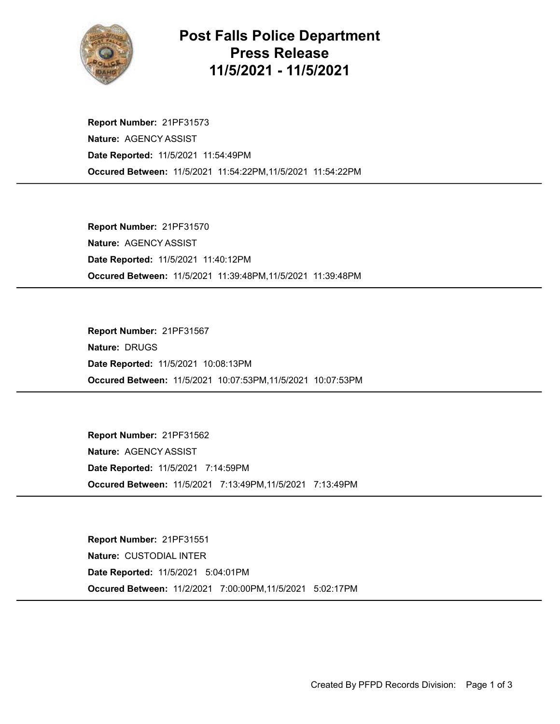

## Post Falls Police Department Press Release 11/5/2021 - 11/5/2021

Occured Between: 11/5/2021 11:54:22PM,11/5/2021 11:54:22PM Report Number: 21PF31573 Nature: AGENCY ASSIST Date Reported: 11/5/2021 11:54:49PM

Occured Between: 11/5/2021 11:39:48PM,11/5/2021 11:39:48PM Report Number: 21PF31570 Nature: AGENCY ASSIST Date Reported: 11/5/2021 11:40:12PM

Occured Between: 11/5/2021 10:07:53PM,11/5/2021 10:07:53PM Report Number: 21PF31567 Nature: DRUGS Date Reported: 11/5/2021 10:08:13PM

Occured Between: 11/5/2021 7:13:49PM,11/5/2021 7:13:49PM Report Number: 21PF31562 Nature: AGENCY ASSIST Date Reported: 11/5/2021 7:14:59PM

Occured Between: 11/2/2021 7:00:00PM,11/5/2021 5:02:17PM Report Number: 21PF31551 Nature: CUSTODIAL INTER Date Reported: 11/5/2021 5:04:01PM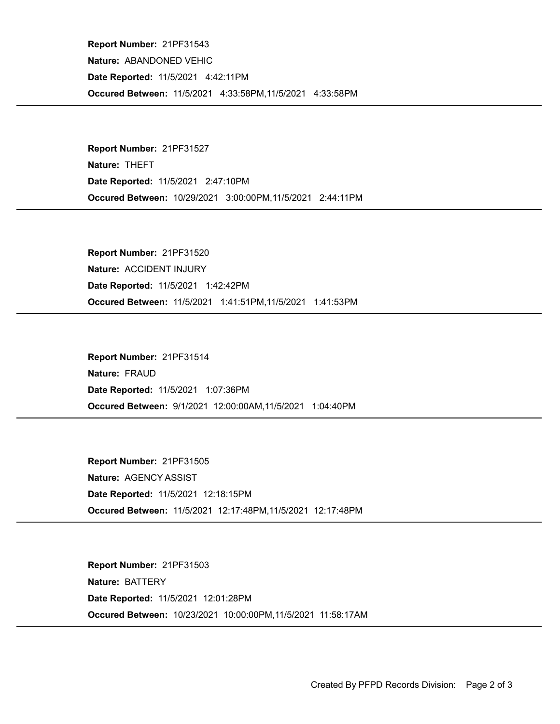Occured Between: 11/5/2021 4:33:58PM,11/5/2021 4:33:58PM Report Number: 21PF31543 Nature: ABANDONED VEHIC Date Reported: 11/5/2021 4:42:11PM

Occured Between: 10/29/2021 3:00:00PM,11/5/2021 2:44:11PM Report Number: 21PF31527 Nature: THEFT Date Reported: 11/5/2021 2:47:10PM

Occured Between: 11/5/2021 1:41:51PM,11/5/2021 1:41:53PM Report Number: 21PF31520 Nature: ACCIDENT INJURY Date Reported: 11/5/2021 1:42:42PM

Occured Between: 9/1/2021 12:00:00AM,11/5/2021 1:04:40PM Report Number: 21PF31514 Nature: FRAUD Date Reported: 11/5/2021 1:07:36PM

Occured Between: 11/5/2021 12:17:48PM,11/5/2021 12:17:48PM Report Number: 21PF31505 Nature: AGENCY ASSIST Date Reported: 11/5/2021 12:18:15PM

Occured Between: 10/23/2021 10:00:00PM,11/5/2021 11:58:17AM Report Number: 21PF31503 Nature: BATTERY Date Reported: 11/5/2021 12:01:28PM